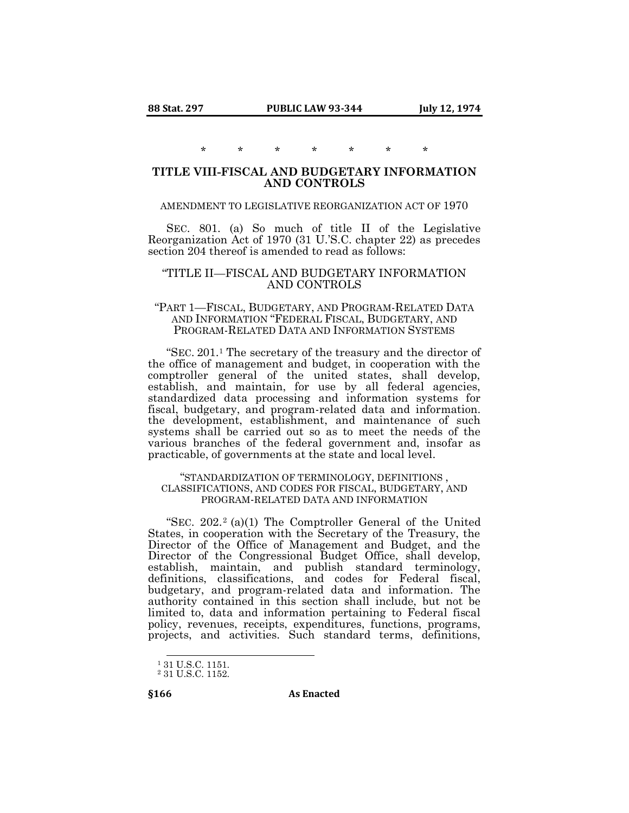# \* \* \* \* \* \* \*

## **TITLE VIII-FISCAL AND BUDGETARY INFORMATION AND CONTROLS**

### AMENDMENT TO LEGISLATIVE REORGANIZATION ACT OF 1970

SEC. 801. (a) So much of title II of the Legislative Reorganization Act of 1970 (31 U.'S.C. chapter 22) as precedes section 204 thereof is amended to read as follows:

# "TITLE II—FISCAL AND BUDGETARY INFORMATION AND CONTROLS

### "PART 1—FISCAL, BUDGETARY, AND PROGRAM-RELATED DATA AND INFORMATION "FEDERAL FISCAL, BUDGETARY, AND PROGRAM-RELATED DATA AND INFORMATION SYSTEMS

"SEC. 201.<sup>1</sup> The secretary of the treasury and the director of the office of management and budget, in cooperation with the comptroller general of the united states, shall develop, establish, and maintain, for use by all federal agencies, standardized data processing and information systems for fiscal, budgetary, and program-related data and information. the development, establishment, and maintenance of such systems shall be carried out so as to meet the needs of the various branches of the federal government and, insofar as practicable, of governments at the state and local level.

#### "STANDARDIZATION OF TERMINOLOGY, DEFINITIONS , CLASSIFICATIONS, AND CODES FOR FISCAL, BUDGETARY, AND PROGRAM-RELATED DATA AND INFORMATION

"SEC. 202.<sup>2</sup> (a)(1) The Comptroller General of the United States, in cooperation with the Secretary of the Treasury, the Director of the Office of Management and Budget, and the Director of the Congressional Budget Office, shall develop, establish, maintain, and publish standard terminology, definitions, classifications, and codes for Federal fiscal, budgetary, and program-related data and information. The authority contained in this section shall include, but not be limited to, data and information pertaining to Federal fiscal policy, revenues, receipts, expenditures, functions, programs, projects, and activities. Such standard terms, definitions,

<sup>1</sup> 31 U.S.C. 1151.

<sup>2</sup> 31 U.S.C. 1152.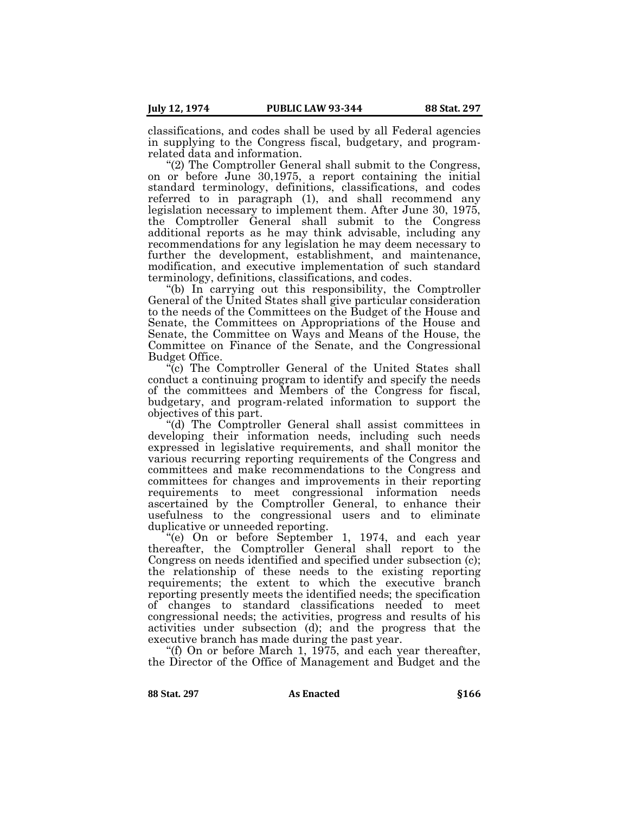classifications, and codes shall be used by all Federal agencies in supplying to the Congress fiscal, budgetary, and programrelated data and information.

"(2) The Comptroller General shall submit to the Congress, on or before June 30,1975, a report containing the initial standard terminology, definitions, classifications, and codes referred to in paragraph (1), and shall recommend any legislation necessary to implement them. After June 30, 1975, the Comptroller General shall submit to the Congress additional reports as he may think advisable, including any recommendations for any legislation he may deem necessary to further the development, establishment, and maintenance, modification, and executive implementation of such standard terminology, definitions, classifications, and codes.

"(b) In carrying out this responsibility, the Comptroller General of the United States shall give particular consideration to the needs of the Committees on the Budget of the House and Senate, the Committees on Appropriations of the House and Senate, the Committee on Ways and Means of the House, the Committee on Finance of the Senate, and the Congressional Budget Office.

"(c) The Comptroller General of the United States shall conduct a continuing program to identify and specify the needs of the committees and Members of the Congress for fiscal, budgetary, and program-related information to support the objectives of this part.

"(d) The Comptroller General shall assist committees in developing their information needs, including such needs expressed in legislative requirements, and shall monitor the various recurring reporting requirements of the Congress and committees and make recommendations to the Congress and committees for changes and improvements in their reporting requirements to meet congressional information needs ascertained by the Comptroller General, to enhance their usefulness to the congressional users and to eliminate duplicative or unneeded reporting.

"(e) On or before September 1, 1974, and each year thereafter, the Comptroller General shall report to the Congress on needs identified and specified under subsection (c); the relationship of these needs to the existing reporting requirements; the extent to which the executive branch reporting presently meets the identified needs; the specification of changes to standard classifications needed to meet congressional needs; the activities, progress and results of his activities under subsection (d); and the progress that the executive branch has made during the past year.

"(f) On or before March 1, 1975, and each year thereafter, the Director of the Office of Management and Budget and the

**88 Stat. 297 As Enacted §166**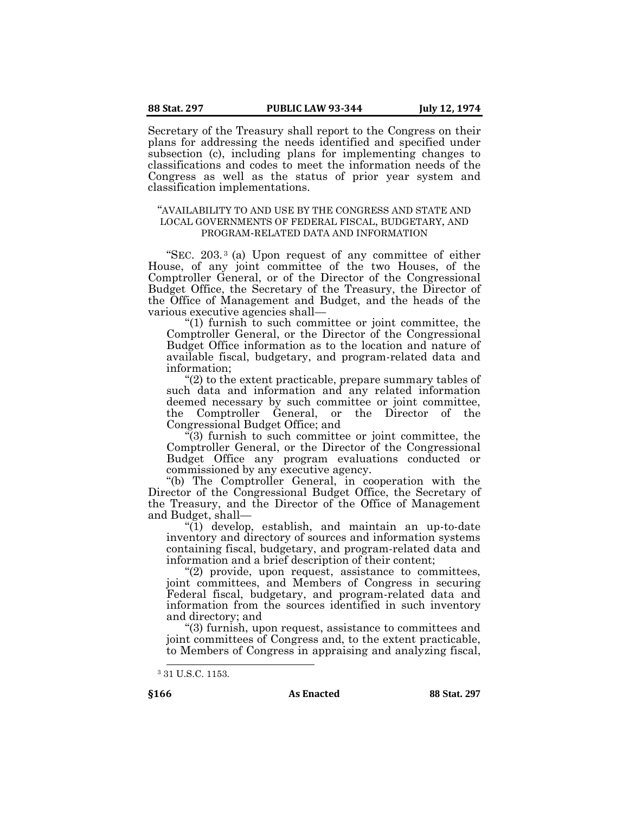Secretary of the Treasury shall report to the Congress on their plans for addressing the needs identified and specified under subsection (c), including plans for implementing changes to classifications and codes to meet the information needs of the Congress as well as the status of prior year system and classification implementations.

#### "AVAILABILITY TO AND USE BY THE CONGRESS AND STATE AND LOCAL GOVERNMENTS OF FEDERAL FISCAL, BUDGETARY, AND PROGRAM-RELATED DATA AND INFORMATION

"SEC. 203.<sup>3</sup> (a) Upon request of any committee of either House, of any joint committee of the two Houses, of the Comptroller General, or of the Director of the Congressional Budget Office, the Secretary of the Treasury, the Director of the Office of Management and Budget, and the heads of the various executive agencies shall—

''(1) furnish to such committee or joint committee, the Comptroller General, or the Director of the Congressional Budget Office information as to the location and nature of available fiscal, budgetary, and program-related data and information;

"(2) to the extent practicable, prepare summary tables of such data and information and any related information deemed necessary by such committee or joint committee, the Comptroller General, or the Director of the Congressional Budget Office; and

"(3) furnish to such committee or joint committee, the Comptroller General, or the Director of the Congressional Budget Office any program evaluations conducted or commissioned by any executive agency.

"(b) The Comptroller General, in cooperation with the Director of the Congressional Budget Office, the Secretary of the Treasury, and the Director of the Office of Management and Budget, shall—

"(1) develop, establish, and maintain an up-to-date inventory and directory of sources and information systems containing fiscal, budgetary, and program-related data and information and a brief description of their content;

"(2) provide, upon request, assistance to committees, joint committees, and Members of Congress in securing Federal fiscal, budgetary, and program-related data and information from the sources identified in such inventory and directory; and

"(3) furnish, upon request, assistance to committees and joint committees of Congress and, to the extent practicable, to Members of Congress in appraising and analyzing fiscal,

<sup>3</sup> 31 U.S.C. 1153.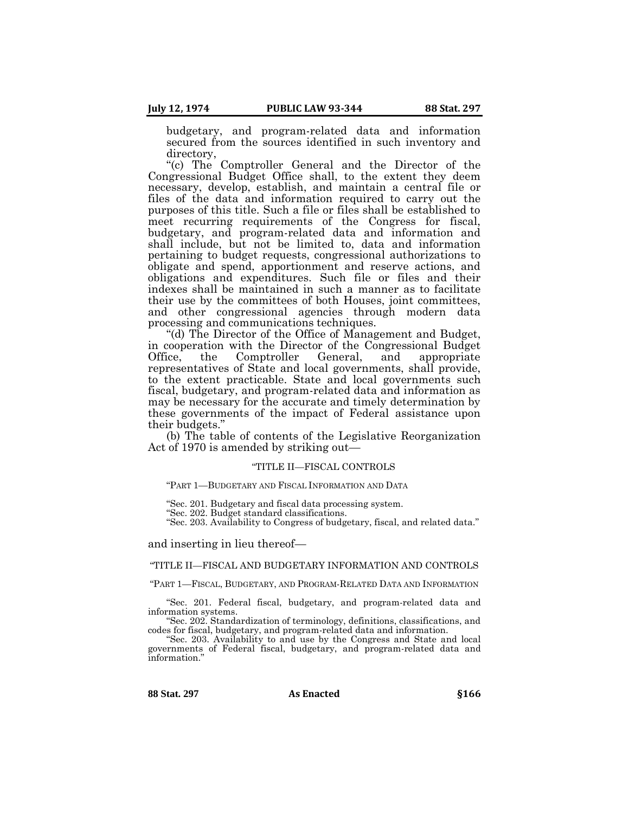budgetary, and program-related data and information secured from the sources identified in such inventory and directory,

''(c) The Comptroller General and the Director of the Congressional Budget Office shall, to the extent they deem necessary, develop, establish, and maintain a central file or files of the data and information required to carry out the purposes of this title. Such a file or files shall be established to meet recurring requirements of the Congress for fiscal, budgetary, and program-related data and information and shall include, but not be limited to, data and information pertaining to budget requests, congressional authorizations to obligate and spend, apportionment and reserve actions, and obligations and expenditures. Such file or files and their indexes shall be maintained in such a manner as to facilitate their use by the committees of both Houses, joint committees, and other congressional agencies through modern data processing and communications techniques.

"(d) The Director of the Office of Management and Budget, in cooperation with the Director of the Congressional Budget<br>Office. the Comptroller General, and appropriate Office, the Comptroller General, and appropriate representatives of State and local governments, shall provide, to the extent practicable. State and local governments such fiscal, budgetary, and program-related data and information as may be necessary for the accurate and timely determination by these governments of the impact of Federal assistance upon their budgets."

(b) The table of contents of the Legislative Reorganization Act of 1970 is amended by striking out—

#### "TITLE II—FISCAL CONTROLS

"PART 1—BUDGETARY AND FISCAL INFORMATION AND DATA

"Sec. 201. Budgetary and fiscal data processing system.

"Sec. 202. Budget standard classifications.

"Sec. 203. Availability to Congress of budgetary, fiscal, and related data."

#### and inserting in lieu thereof—

#### "TITLE II—FISCAL AND BUDGETARY INFORMATION AND CONTROLS

"PART 1—FISCAL, BUDGETARY, AND PROGRAM-RELATED DATA AND INFORMATION

"Sec. 201. Federal fiscal, budgetary, and program-related data and information systems.

"Sec. 202. Standardization of terminology, definitions, classifications, and codes for fiscal, budgetary, and program-related data and information.

"Sec. 203. Availability to and use by the Congress and State and local governments of Federal fiscal, budgetary, and program-related data and information.

**88 Stat. 297 As Enacted §166**